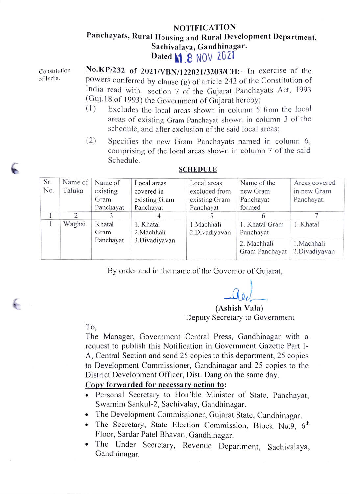## NOTIFICATION Panchayats, Rural Housing and Rural Development Department, Sachivalaya, Gandhinagar. Dated **1.8 NOV 2021**

Constitution of India.

No.KP/232 of 2021/VBN/122021/3203/CH: In exercise of the powers conferred by clause (g) of article 243 of the Constitution of India read with section 7 of the Gujarat Panchayats Act, 1993 (Guj.18 of 1993) the Government of Gujarat hereby;

- (1) Excludes the local areas shown in column 5 from the local areas of existing Gram Panchayat shown in column 3 ot the schedule, and after exclusion of the said local areas;
- (2) Specifies the new Gram Panchayats named in column 6, comprising of the local areas shown in column 7 of the said Schedule.

| Sr.<br>No. | Name of<br>Taluka | Name of<br>existing<br>Gram | Local areas<br>covered in<br>existing Gram | Local areas<br>excluded from<br>existing Gram | Name of the<br>new Gram<br>Panchayat | Areas covered<br>in new Gram<br>Panchayat. |
|------------|-------------------|-----------------------------|--------------------------------------------|-----------------------------------------------|--------------------------------------|--------------------------------------------|
|            |                   | Panchayat                   | Panchayat                                  | Panchayat                                     | formed                               |                                            |
|            |                   |                             |                                            |                                               |                                      |                                            |
|            | Waghai            | Khatal<br>Gram              | 1. Khatal<br>2. Machhali                   | 1.Machhali<br>2.Divadiyavan                   | 1. Khatal Gram<br>Panchayat          | 1. Khatal                                  |
|            |                   | Panchayat                   | 3.Divadiyavan                              |                                               | 2. Machhali<br>Gram Panchayat        | 1.Machhali<br>2.Divadiyavan                |

## SCHEDULE

By order and in the name of the Governor of Gujarat,

(Ashish Vala) Deputy Secretary to Government

To,

 $\epsilon$ 

The Manager, Government Central Press, Gandhinagar with a request to publish this Notification in Government Gazette Part I-A, Central Section and send 25 copies to this department, 25 copies to Development Commissioner, Gandhinagar and 25 copies to the District Development Officer, Dist. Dang on the same day.

## Copy forwarded for necessaryaction to:

- Personal Secretary to Hon'ble Minister of State, Panchayat, Swarnim Sankul-2, Sachivalay, Gandhinagar.
- 
- The Development Commissioner, Gujarat State, Gandhinagar.<br>• The Secretary, State Election Commission, Block No.9, 6<sup>th</sup> Floor, Sardar Patel Bhavan, Gandhinagar.
- The Under Secretary, Revenue Department, Sachivalaya, Gandhinagar.